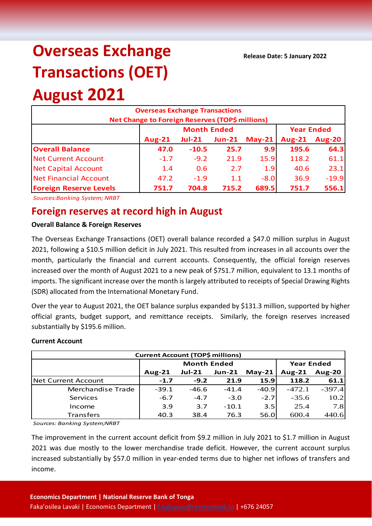# **Overseas Exchange Transactions (OET)**

## **August 2021**

| <b>Overseas Exchange Transactions</b><br>Net Change to Foreign Reserves (TOP\$ millions) |               |                    |                   |          |               |               |  |  |
|------------------------------------------------------------------------------------------|---------------|--------------------|-------------------|----------|---------------|---------------|--|--|
|                                                                                          |               | <b>Month Ended</b> | <b>Year Ended</b> |          |               |               |  |  |
|                                                                                          | <b>Aug-21</b> | $Jul-21$           | $Jun-21$          | $May-21$ | <b>Aug-21</b> | <b>Aug-20</b> |  |  |
| <b>Overall Balance</b>                                                                   | 47.0          | $-10.5$            | 25.7              | 9.9      | 195.6         | 64.3          |  |  |
| <b>Net Current Account</b>                                                               | $-1.7$        | $-9.2$             | 21.9              | 15.9     | 118.2         | 61.1          |  |  |
| <b>Net Capital Account</b>                                                               | 1.4           | 0.6                | 2.7               | 1.9      | 40.6          | 23.1          |  |  |
| <b>Net Financial Account</b>                                                             | 47.2          | $-1.9$             | 1.1               | $-8.0$   | 36.9          | $-19.9$       |  |  |
| <b>Foreign Reserve Levels</b>                                                            | 751.7         | 704.8              | 715.2             | 689.5    | 751.7         | 556.1         |  |  |

*Sources:Banking System; NRBT*

### **Foreign reserves at record high in August**

#### **Overall Balance & Foreign Reserves**

The Overseas Exchange Transactions (OET) overall balance recorded a \$47.0 million surplus in August 2021, following a \$10.5 million deficit in July 2021. This resulted from increases in all accounts over the month, particularly the financial and current accounts. Consequently, the official foreign reserves increased over the month of August 2021 to a new peak of \$751.7 million, equivalent to 13.1 months of imports. The significant increase over the month is largely attributed to receipts of Special Drawing Rights (SDR) allocated from the International Monetary Fund.

Over the year to August 2021, the OET balance surplus expanded by \$131.3 million, supported by higher official grants, budget support, and remittance receipts. Similarly, the foreign reserves increased substantially by \$195.6 million.

#### **Current Account**

| <b>Current Account (TOP\$ millions)</b> |                    |          |               |             |                   |               |  |  |
|-----------------------------------------|--------------------|----------|---------------|-------------|-------------------|---------------|--|--|
|                                         | <b>Month Ended</b> |          |               |             | <b>Year Ended</b> |               |  |  |
|                                         | Aug- $21$          | $Jul-21$ | <b>Jun-21</b> | $May-21$    | Aug- $21$         | <b>Aug-20</b> |  |  |
| <b>INet Current Account</b>             | $-1.7$             | $-9.2$   | 21.9          | <b>15.9</b> | 118.2             | 61.1          |  |  |
| Merchandise Trade                       | $-39.1$            | $-46.6$  | $-41.4$       | $-40.9$     | $-472.1$          | $-397.4$      |  |  |
| Services                                | $-6.7$             | $-4.7$   | $-3.0$        | $-2.7$      | $-35.6$           | 10.2          |  |  |
| Income                                  | 3.9                | 3.7      | $-10.1$       | 3.5         | 25.4              | 7.8           |  |  |
| Transfers                               | 40.3               | 38.4     | 76.3          | 56.0        | 600.4             | 440.6         |  |  |

*Sources: Banking System;NRBT*

The improvement in the current account deficit from \$9.2 million in July 2021 to \$1.7 million in August 2021 was due mostly to the lower merchandise trade deficit. However, the current account surplus increased substantially by \$57.0 million in year-ended terms due to higher net inflows of transfers and income.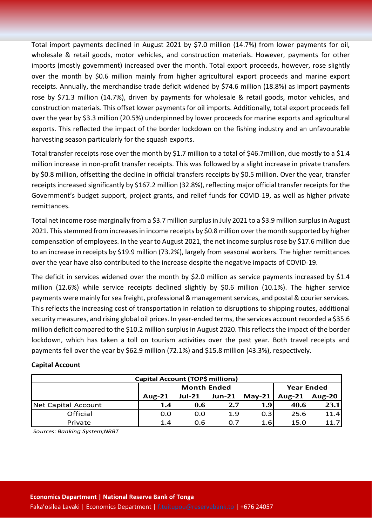Total import payments declined in August 2021 by \$7.0 million (14.7%) from lower payments for oil, wholesale & retail goods, motor vehicles, and construction materials. However, payments for other imports (mostly government) increased over the month. Total export proceeds, however, rose slightly over the month by \$0.6 million mainly from higher agricultural export proceeds and marine export receipts. Annually, the merchandise trade deficit widened by \$74.6 million (18.8%) as import payments rose by \$71.3 million (14.7%), driven by payments for wholesale & retail goods, motor vehicles, and construction materials. This offset lower payments for oil imports. Additionally, total export proceeds fell over the year by \$3.3 million (20.5%) underpinned by lower proceeds for marine exports and agricultural exports. This reflected the impact of the border lockdown on the fishing industry and an unfavourable harvesting season particularly for the squash exports.

Total transfer receipts rose over the month by \$1.7 million to a total of \$46.7million, due mostly to a \$1.4 million increase in non-profit transfer receipts. This was followed by a slight increase in private transfers by \$0.8 million, offsetting the decline in official transfers receipts by \$0.5 million. Over the year, transfer receipts increased significantly by \$167.2 million (32.8%), reflecting major official transfer receipts for the Government's budget support, project grants, and relief funds for COVID-19, as well as higher private remittances.

Total net income rose marginally from a \$3.7 million surplus in July 2021 to a \$3.9 million surplus in August 2021. This stemmed from increases in income receipts by \$0.8 million over the month supported by higher compensation of employees. In the year to August 2021, the net income surplus rose by \$17.6 million due to an increase in receipts by \$19.9 million (73.2%), largely from seasonal workers. The higher remittances over the year have also contributed to the increase despite the negative impacts of COVID-19.

The deficit in services widened over the month by \$2.0 million as service payments increased by \$1.4 million (12.6%) while service receipts declined slightly by \$0.6 million (10.1%). The higher service payments were mainly forsea freight, professional & management services, and postal & courier services. This reflects the increasing cost of transportation in relation to disruptions to shipping routes, additional security measures, and rising global oil prices. In year-ended terms, the services account recorded a \$35.6 million deficit compared to the \$10.2 million surplus in August 2020. This reflects the impact of the border lockdown, which has taken a toll on tourism activities over the past year. Both travel receipts and payments fell over the year by \$62.9 million (72.1%) and \$15.8 million (43.3%), respectively.

#### **Capital Account**

| Capital Account (TOP\$ millions) |                    |          |               |          |                   |               |  |  |
|----------------------------------|--------------------|----------|---------------|----------|-------------------|---------------|--|--|
|                                  | <b>Month Ended</b> |          |               |          | <b>Year Ended</b> |               |  |  |
|                                  | Aug- $21$          | $Jul-21$ | <b>Jun-21</b> | $May-21$ | <b>Aug-21</b>     | <b>Aug-20</b> |  |  |
| Net Capital Account              | 1.4                | 0.6      | 2.7           | 1.9      | 40.6              | 23.1          |  |  |
| Official                         | 0.0                | 0.0      | 1.9           | 0.3      | 25.6              | 11.4          |  |  |
| Private                          | 1.4                | 0.6      | 0.7           | 1.6      | 15.0              | 11.7          |  |  |

*Sources: Banking System;NRBT*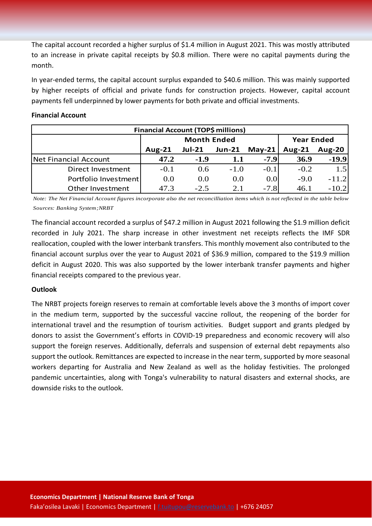The capital account recorded a higher surplus of \$1.4 million in August 2021. This was mostly attributed to an increase in private capital receipts by \$0.8 million. There were no capital payments during the month.

In year-ended terms, the capital account surplus expanded to \$40.6 million. This was mainly supported by higher receipts of official and private funds for construction projects. However, capital account payments fell underpinned by lower payments for both private and official investments.

#### **Financial Account**

| <b>Financial Account (TOP\$ millions)</b> |                    |          |               |          |                   |               |  |  |
|-------------------------------------------|--------------------|----------|---------------|----------|-------------------|---------------|--|--|
|                                           | <b>Month Ended</b> |          |               |          | <b>Year Ended</b> |               |  |  |
|                                           | Aug- $21$          | $Jul-21$ | <b>Jun-21</b> | $May-21$ | Aug- $21$         | <b>Aug-20</b> |  |  |
| Net Financial Account                     | 47.2               | $-1.9$   | 1.1           | $-7.9$   | 36.9              | $-19.9$       |  |  |
| Direct Investment                         | $-0.1$             | 0.6      | $-1.0$        | $-0.1$   | $-0.2$            | 1.5           |  |  |
| Portfolio Investment                      | 0.0                | 0.0      | 0.0           | 0.0      | $-9.0$            | $-11.2$       |  |  |
| Other Investment                          | 47.3               | $-2.5$   | 2.1           | $-7.8$   | 46.1              | $-10.2$       |  |  |

*Note: The Net Financial Account figures incorporate also the net reconcilliation items which is not reflected in the table below Sources: Banking System;NRBT*

The financial account recorded a surplus of \$47.2 million in August 2021 following the \$1.9 million deficit recorded in July 2021. The sharp increase in other investment net receipts reflects the IMF SDR reallocation, coupled with the lower interbank transfers. This monthly movement also contributed to the financial account surplus over the year to August 2021 of \$36.9 million, compared to the \$19.9 million deficit in August 2020. This was also supported by the lower interbank transfer payments and higher financial receipts compared to the previous year.

#### **Outlook**

The NRBT projects foreign reserves to remain at comfortable levels above the 3 months of import cover in the medium term, supported by the successful vaccine rollout, the reopening of the border for international travel and the resumption of tourism activities. Budget support and grants pledged by donors to assist the Government's efforts in COVID-19 preparedness and economic recovery will also support the foreign reserves. Additionally, deferrals and suspension of external debt repayments also support the outlook. Remittances are expected to increase in the near term, supported by more seasonal workers departing for Australia and New Zealand as well as the holiday festivities. The prolonged pandemic uncertainties, along with Tonga's vulnerability to natural disasters and external shocks, are downside risks to the outlook.